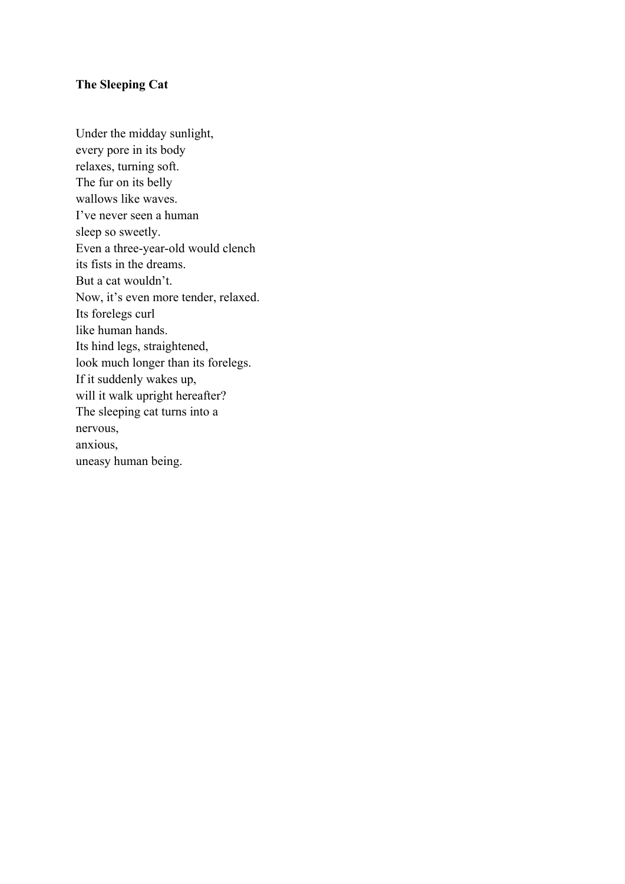# **The Sleeping Cat**

Under the midday sunlight, every pore in its body relaxes, turning soft. The fur on its belly wallows like waves. I've never seen a human sleep so sweetly. Even a three-year-old would clench its fists in the dreams. But a cat wouldn't. Now, it's even more tender, relaxed. Its forelegs curl like human hands. Its hind legs, straightened, look much longer than its forelegs. If it suddenly wakes up, will it walk upright hereafter? The sleeping cat turns into a nervous, anxious, uneasy human being.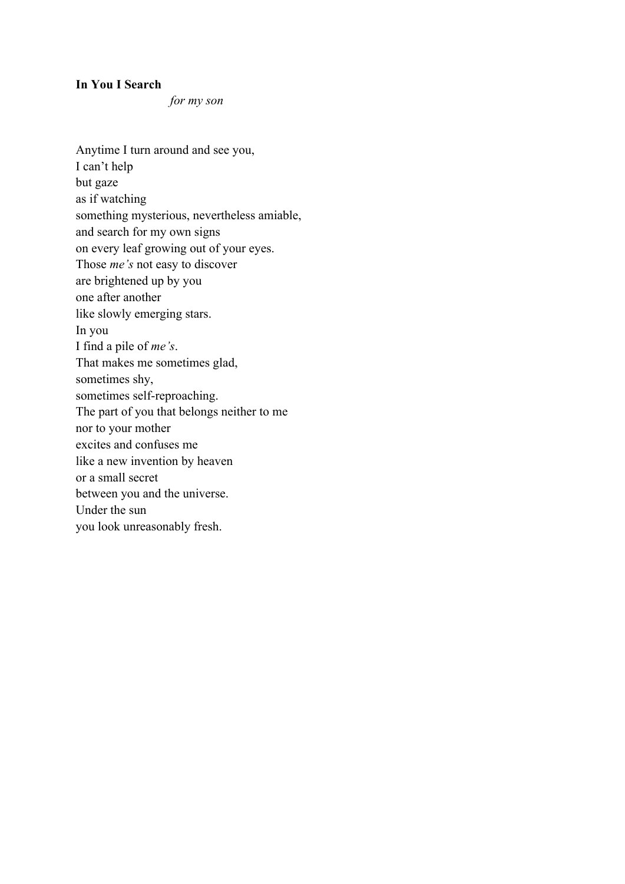### **In You I Search**

*for my son*

Anytime I turn around and see you, I can't help but gaze as if watching something mysterious, nevertheless amiable, and search for my own signs on every leaf growing out of your eyes. Those *me's* not easy to discover are brightened up by you one after another like slowly emerging stars. In you I find a pile of *me's*. That makes me sometimes glad, sometimes shy, sometimes self-reproaching. The part of you that belongs neither to me nor to your mother excites and confuses me like a new invention by heaven or a small secret between you and the universe. Under the sun you look unreasonably fresh.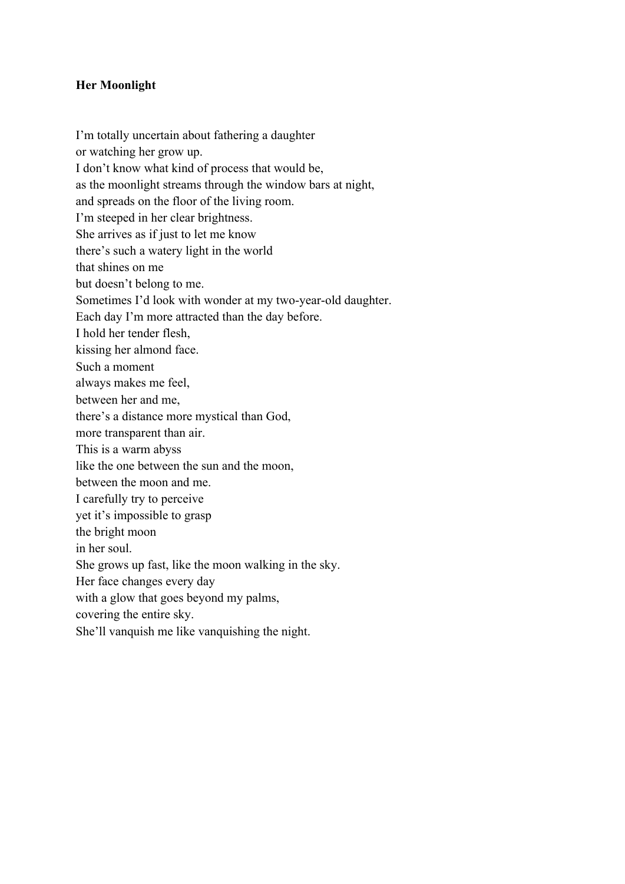# **Her Moonlight**

I'm totally uncertain about fathering a daughter or watching her grow up. I don't know what kind of process that would be, as the moonlight streams through the window bars at night, and spreads on the floor of the living room. I'm steeped in her clear brightness. She arrives as if just to let me know there's such a watery light in the world that shines on me but doesn't belong to me. Sometimes I'd look with wonder at my two-year-old daughter. Each day I'm more attracted than the day before. I hold her tender flesh, kissing her almond face. Such a moment always makes me feel, between her and me, there's a distance more mystical than God, more transparent than air. This is a warm abyss like the one between the sun and the moon, between the moon and me. I carefully try to perceive yet it's impossible to grasp the bright moon in her soul. She grows up fast, like the moon walking in the sky. Her face changes every day with a glow that goes beyond my palms, covering the entire sky. She'll vanquish me like vanquishing the night.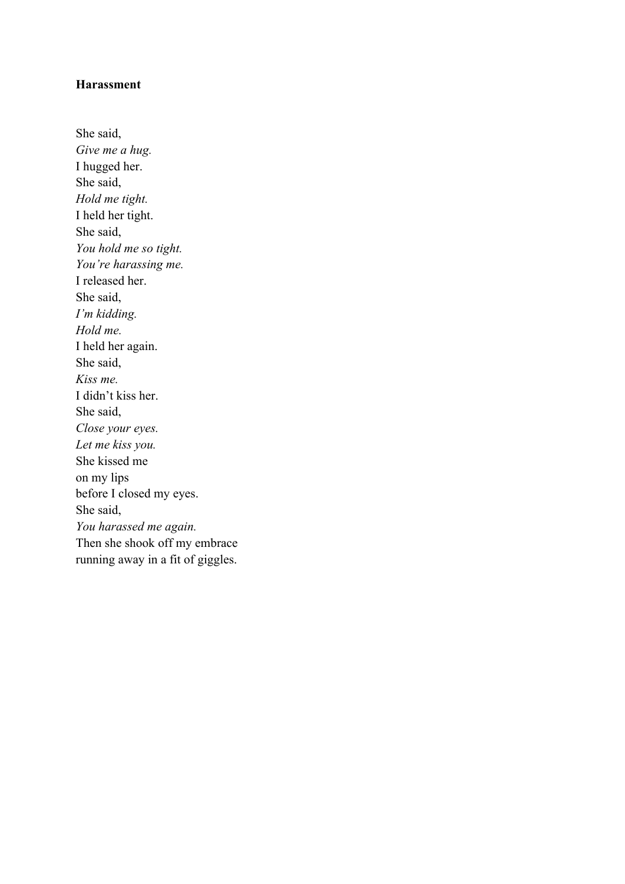## **Harassment**

She said, *Give me a hug.* I hugged her. She said, *Hold me tight.* I held her tight. She said, *You hold me so tight. You're harassing me.* I released her. She said, *I'm kidding. Hold me.* I held her again. She said, *Kiss me.* I didn't kiss her. She said, *Close your eyes. Let me kiss you.* She kissed me on my lips before I closed my eyes. She said, *You harassed me again.* Then she shook off my embrace running away in a fit of giggles.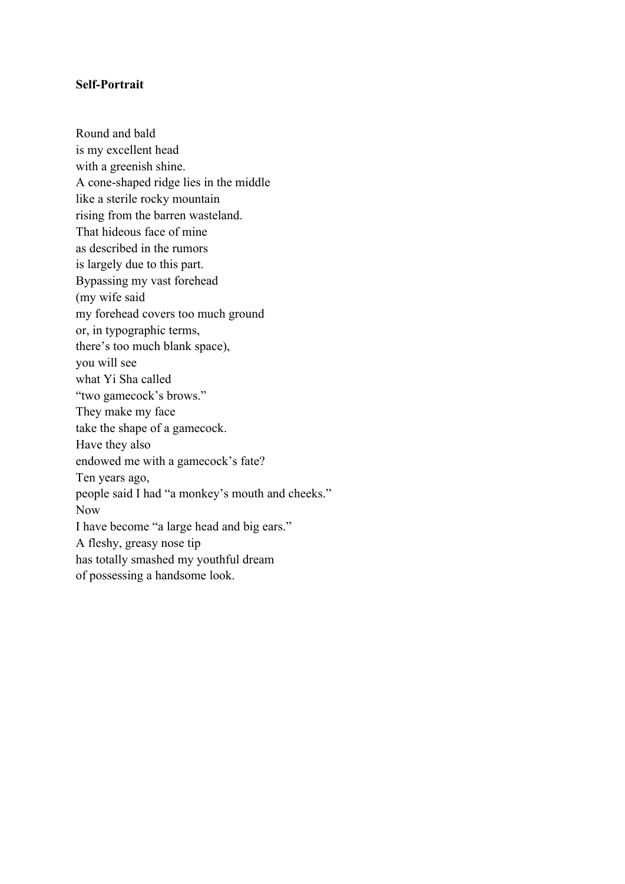### **Self-Portrait**

Round and bald is my excellent head with a greenish shine. A cone-shaped ridge lies in the middle like a sterile rocky mountain rising from the barren wasteland. That hideous face of mine as described in the rumors is largely due to this part. Bypassing my vast forehead (my wife said my forehead covers too much ground or, in typographic terms, there's too much blank space), you will see what Yi Sha called "two gamecock's brows." They make my face take the shape of a gamecock. Have they also endowed me with a gamecock's fate? Ten years ago, people said I had "a monkey's mouth and cheeks." Now I have become "a large head and big ears." A fleshy, greasy nose tip has totally smashed my youthful dream of possessing a handsome look.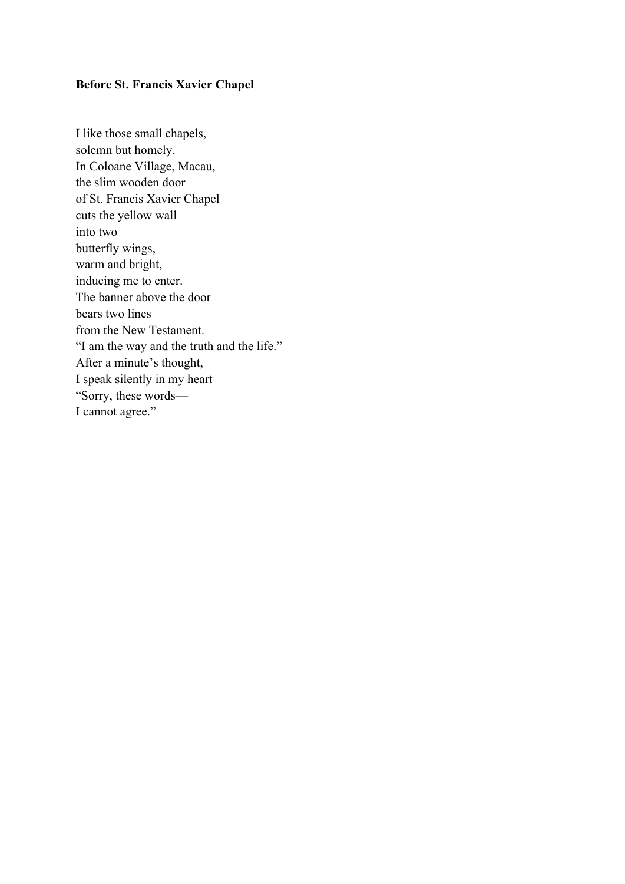### **Before St. Francis Xavier Chapel**

I like those small chapels, solemn but homely. In Coloane Village, Macau, the slim wooden door of St. Francis Xavier Chapel cuts the yellow wall into two butterfly wings, warm and bright, inducing me to enter. The banner above the door bears two lines from the New Testament. "I am the way and the truth and the life." After a minute's thought, I speak silently in my heart "Sorry, these words— I cannot agree."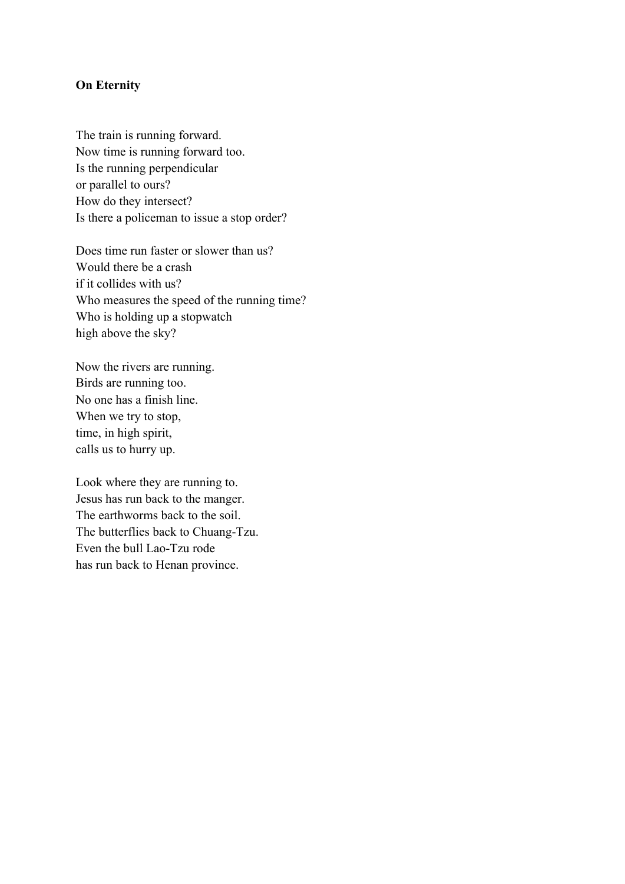#### **On Eternity**

The train is running forward. Now time is running forward too. Is the running perpendicular or parallel to ours? How do they intersect? Is there a policeman to issue a stop order?

Does time run faster or slower than us? Would there be a crash if it collides with us? Who measures the speed of the running time? Who is holding up a stopwatch high above the sky?

Now the rivers are running. Birds are running too. No one has a finish line. When we try to stop, time, in high spirit, calls us to hurry up.

Look where they are running to. Jesus has run back to the manger. The earthworms back to the soil. The butterflies back to Chuang-Tzu. Even the bull Lao-Tzu rode has run back to Henan province.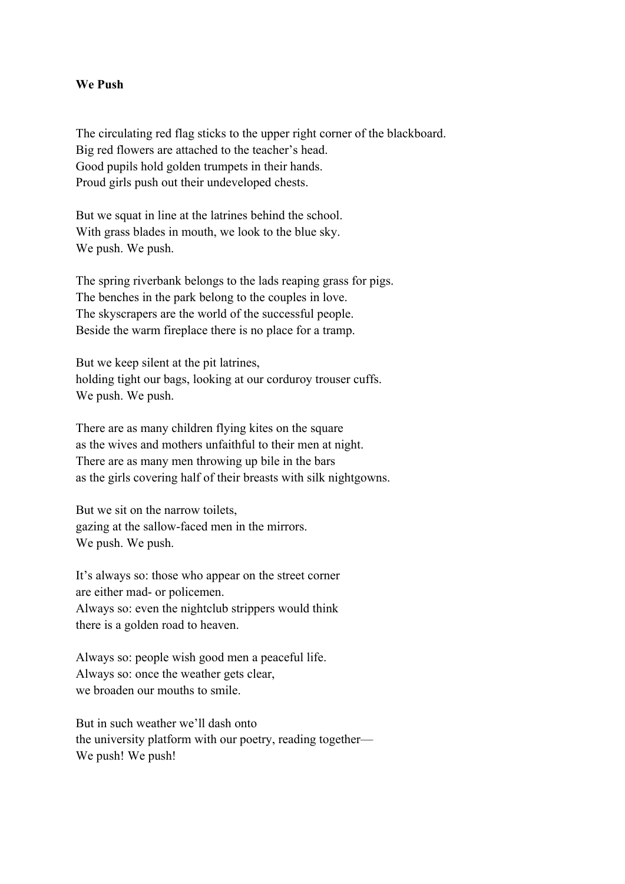#### **We Push**

The circulating red flag sticks to the upper right corner of the blackboard. Big red flowers are attached to the teacher's head. Good pupils hold golden trumpets in their hands. Proud girls push out their undeveloped chests.

But we squat in line at the latrines behind the school. With grass blades in mouth, we look to the blue sky. We push. We push.

The spring riverbank belongs to the lads reaping grass for pigs. The benches in the park belong to the couples in love. The skyscrapers are the world of the successful people. Beside the warm fireplace there is no place for a tramp.

But we keep silent at the pit latrines, holding tight our bags, looking at our corduroy trouser cuffs. We push. We push.

There are as many children flying kites on the square as the wives and mothers unfaithful to their men at night. There are as many men throwing up bile in the bars as the girls covering half of their breasts with silk nightgowns.

But we sit on the narrow toilets, gazing at the sallow-faced men in the mirrors. We push. We push.

It's always so: those who appear on the street corner are either mad- or policemen. Always so: even the nightclub strippers would think there is a golden road to heaven.

Always so: people wish good men a peaceful life. Always so: once the weather gets clear, we broaden our mouths to smile.

But in such weather we'll dash onto the university platform with our poetry, reading together— We push! We push!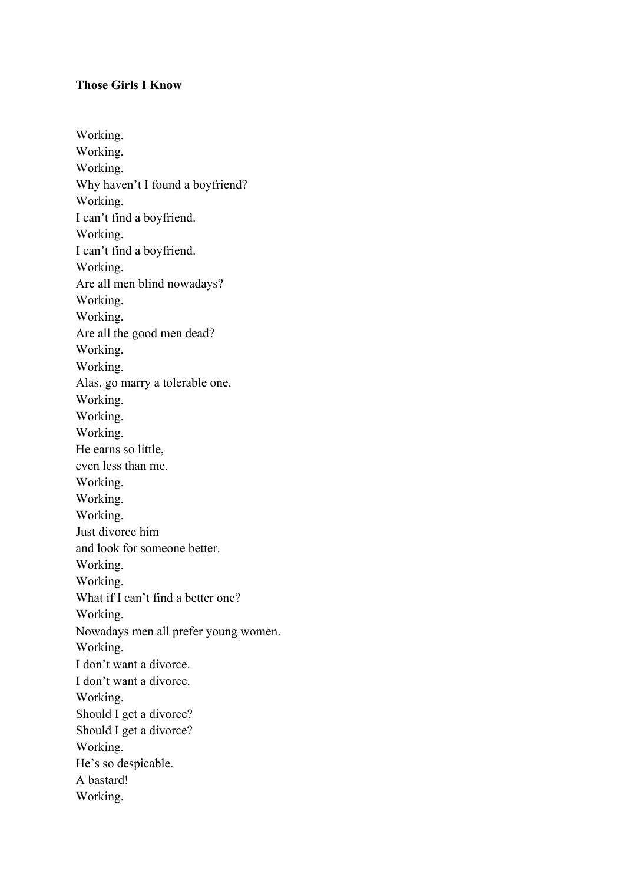### **Those Girls I Know**

Working. Working. Working. Why haven't I found a boyfriend? Working. I can't find a boyfriend. Working. I can't find a boyfriend. Working. Are all men blind nowadays? Working. Working. Are all the good men dead? Working. Working. Alas, go marry a tolerable one. Working. Working. Working. He earns so little, even less than me. Working. Working. Working. Just divorce him and look for someone better. Working. Working. What if I can't find a better one? Working. Nowadays men all prefer young women. Working. I don't want a divorce. I don't want a divorce. Working. Should I get a divorce? Should I get a divorce? Working. He's so despicable. A bastard! Working.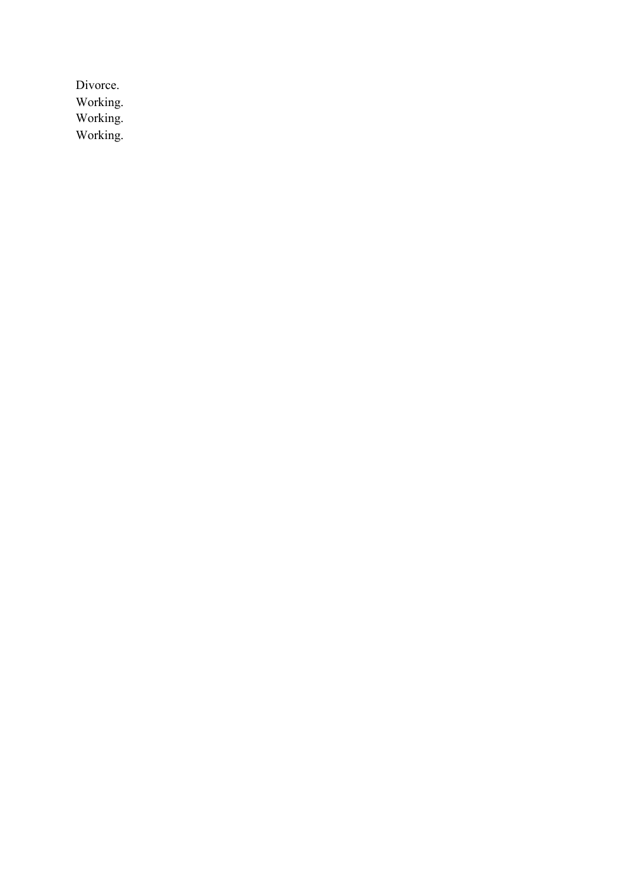Divorce. Working. Working. Working.